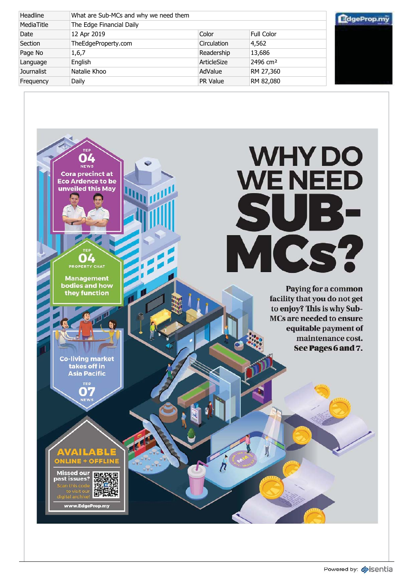| Headline          | What are Sub-MCs and why we need them |                 |                      |
|-------------------|---------------------------------------|-----------------|----------------------|
| MediaTitle        | The Edge Financial Daily              |                 |                      |
| Date              | 12 Apr 2019                           | Color           | Full Color           |
| Section           | TheEdgeProperty.com                   | Circulation     | 4,562                |
| Page No           | 1,6,7                                 | Readership      | 13,686               |
| Language          | English                               | ArticleSize     | 2496 cm <sup>2</sup> |
| <b>Journalist</b> | Natalie Khoo                          | AdValue         | RM 27,360            |
| Frequency         | Daily                                 | <b>PR Value</b> | RM 82,080            |



Prop.my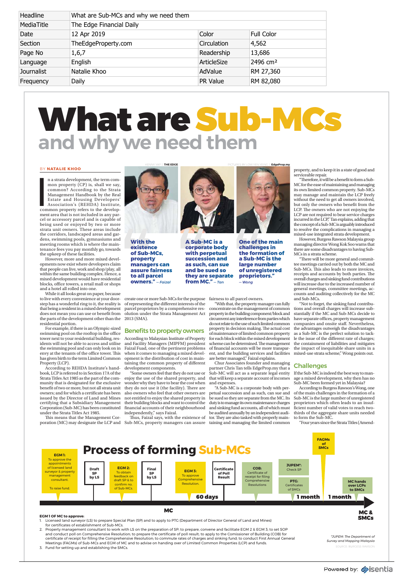| Headline   | What are Sub-MCs and why we need them |                 |                      |
|------------|---------------------------------------|-----------------|----------------------|
| MediaTitle | The Edge Financial Daily              |                 |                      |
| Date       | 12 Apr 2019                           | Color           | <b>Full Color</b>    |
| Section    | TheEdgeProperty.com                   | Circulation     | 4,562                |
| Page No    | 1,6,7                                 | Readership      | 13,686               |
| Language   | English                               | ArticleSize     | 2496 cm <sup>2</sup> |
| Journalist | Natalie Khoo                          | AdValue         | RM 27,360            |
| Frequency  | Daily                                 | <b>PR Value</b> | RM 82,080            |
|            |                                       |                 |                      |

## What are Sub-MCs **and why we need them**

KENNY YAP | **THE EDGE** PICTURES BY LOW YEN YEING | **EdgeProp.my**

**A Sub-MC is a corporate body with perpetual succession and as such, can sue and be sued so they are separate from MC."** *— Tan*

#### BY **NATALIE KHOO**

n a strata development, the term com-<br>mon property (CP) is, shall we say,<br>common? According to the Strata<br>Management Handbook by the Real<br>Estate and Housing Developers'<br>Association's (REHDA) Institute,<br>common property refe n a strata development, the term common property (CP) is, shall we say, common? According to the Strata Management Handbook by the Real Estate and Housing Developers' Association's (REHDA) Institute, ment area that is not included in any parcel or accessory parcel and is capable of being used or enjoyed by two or more strata unit owners. These areas include the corridors, landscaped areas and gar-dens, swimming pools, gymnasiums and meeting rooms which is where the maintenance fees you pay monthly go, towards

the upkeep of these facilities. However, more and more mixed developments now exist where developers claim that people can live, work and shop/play, all within the same building complex. Hence, a mixed development would have residential blocks, office towers, a retail mall or shops and a hotel all rolled into one.

While it all looks great on paper, because to live with every convenience at your door-step has a wonderful ring to it, the reality is that being a resident in a mixed development does not mean you can use or benefit from the parts of the development other than the residential portion.

For example, if there is an Olympic-sized swimming pool on the rooftop in the office tower next to your residential building, residents will not be able to access and utilise the swimming pool and can only look on in envy at the tenants of the office tower. This has given birth to the term Limited Common Property (LCP).

According to REHDA Institute's handbook, LCP is referred to in Section 17A of the Strata Titles Act 1985 as the part of the community that is designated for the exclusive benefit of two or more, but not all strata unit owners; and for which a certificate has been issued by the Director of Land and Mines certifying that a Subsidiary Management Corporation (Sub-MC) has been constituted under the Strata Titles Act 1985.

This means that the Management Cor-<br>poration (MC) may designate the LCP and





**With the existence of Sub-MCs, property managers can assure fairness to all parcel owners."** *— Faizal*

create one or more Sub-MCs for the purpose of representing the diff erent interests of the parcel proprietors by a comprehensive res-olution under the Strata Management Act 2013 (SMA).

#### Benefits to property owners

According to Malaysian Institute of Property and Facility Managers (MIPFM) president Faizal Fuad, one of the pertinent problems when it comes to managing a mixed development is the distribution of cost in maintaining the common property of different development components.

"Some owners feel that they do not use or enjoy the use of the shared property, and wonder why they have to bear the cost when they do not use it (the facility). There are also owners who feel that other owners are not entitled to enjoy the shared property in their building blocks and want to control the financial accounts of their neighbourhood independently," says Faizal.

Thus, Faizal says, with the existence of

fairness to all parcel owners. "With that, the property manager can fully concentrate on the management of common property in the building component/block and circumvent any interference from parties which do not relate to the use of such limited common property in decision making. The actual cost of maintenance of limited common property for each block within the mixed development scheme can be determined. The management of financial accounts will be more transparent, and the building services and facilities are better managed," Faizal explains.

**One of the main challenges in the formation of a Sub-MC is the large number of unregistered proprietors."** *— Wong*

Chur Associates founder and managing partner Chris Tan tells EdgeProp.my that a Sub-MC will act as a separate legal entity that will keep a separate account of incomes and expenses.

Sub-MCs, property managers can assure taining and managing the limited common "A Sub-MC is a corporate body with perpetual succession and as such, can sue and be sued so they are separate from the MC. Its duty is to manage its own maintenance charges and sinking fund accounts, all of which must be audited annually by an independent auditor. They are also tasked with properly main-

property, and to keep it in a state of good and serviceable repair. necusie repun.<br>"Therefore, it will be a benefit to form a Sub-

MC for the ease of maintaining and managing its own limited common property. Sub-MCs may manage and maintain the LCP freely without the need to get all owners involved, but only the owners who benefit from the LCP. The owners who are not enjoying the LCP are not required to bear service charges incurred in the LCP," Tan explains, adding that the concept of a Sub-MC is arguably introduced to resolve the complications in managing a

mixed-use integrated strata development. However, Burgess Rawson Malaysia group managing director Wong Kok Soo warns that there are some disadvantages to having Sub-MCs in a strata scheme.

"There will be more general and committee meetings carried out by both the MC and<br>Sub-MCs. This also leads to more invoices, receipts and accounts by both parties. The<br>overall charges and sinking fund contributions will increase due to the increased number of general meetings, committee meetings, accounts and auditing collectively for the MC and Sub-MCs.

"Not to forget, the sinking fund contributions and overall charges will increase sub-stantially if the MC and Sub-MCs decide to have separate offices, property management<br>companies and onsite staff. Nevertheless, the advantages outweigh the disadvantages as a Sub-MC is the perfect solution to tackle the issue of the different rate of charges; the containment of liabilities and mitigates the impact of inequitable share units in a mixed-use strata scheme," Wong points out.

#### **Challenges**

If the Sub-MC is indeed the best way to manage a mixed development, why then has no Sub-MC been formed yet in Malaysia?

According to Burgess Rawson's Wong, one of the main challenges in the formation of a Sub-MC is the large number of unregistered proprietors which often leads to an insufficient number of valid votes to reach twothirds of the aggregate share units needed to form the Sub-MC.

"Four years since the Strata Titles (Amend-



and conduct poll on Comprehensive Resolution; to prepare the certificate of poll result; to apply to the Comissioner of Building (COB) for<br>Certificate of the Comprehensive Resolution; to commute rates of charges and sinkin

*\*JUPEM: The Department of Survey and Mapping Malaysia*